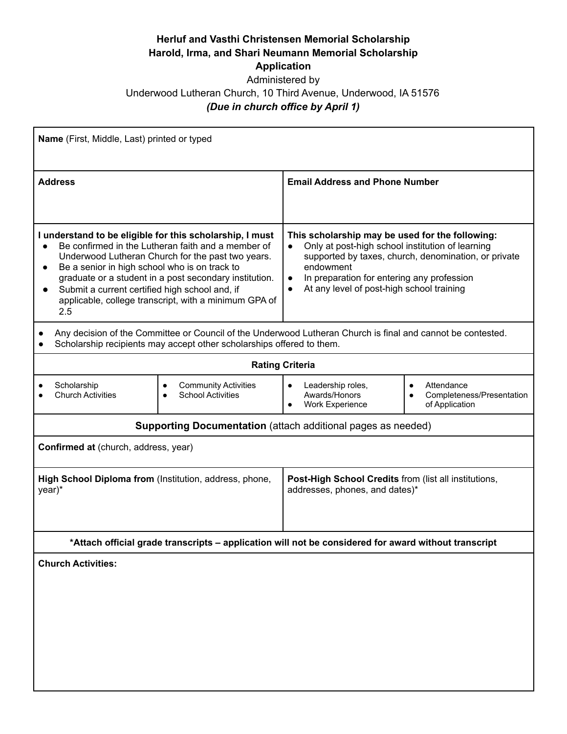## **Herluf and Vasthi Christensen Memorial Scholarship Harold, Irma, and Shari Neumann Memorial Scholarship**

## **Application**

## Administered by Underwood Lutheran Church, 10 Third Avenue, Underwood, IA 51576 *(Due in church office by April 1)*

| Name (First, Middle, Last) printed or typed                                                                                                                                                                                                                                                                                                                                                                   |                                                                                                                                                                                                                                                                                                            |  |
|---------------------------------------------------------------------------------------------------------------------------------------------------------------------------------------------------------------------------------------------------------------------------------------------------------------------------------------------------------------------------------------------------------------|------------------------------------------------------------------------------------------------------------------------------------------------------------------------------------------------------------------------------------------------------------------------------------------------------------|--|
| <b>Address</b>                                                                                                                                                                                                                                                                                                                                                                                                | <b>Email Address and Phone Number</b>                                                                                                                                                                                                                                                                      |  |
| I understand to be eligible for this scholarship, I must<br>Be confirmed in the Lutheran faith and a member of<br>Underwood Lutheran Church for the past two years.<br>Be a senior in high school who is on track to<br>$\bullet$<br>graduate or a student in a post secondary institution.<br>Submit a current certified high school and, if<br>applicable, college transcript, with a minimum GPA of<br>2.5 | This scholarship may be used for the following:<br>Only at post-high school institution of learning<br>$\bullet$<br>supported by taxes, church, denomination, or private<br>endowment<br>In preparation for entering any profession<br>$\bullet$<br>At any level of post-high school training<br>$\bullet$ |  |
| Any decision of the Committee or Council of the Underwood Lutheran Church is final and cannot be contested.<br>Scholarship recipients may accept other scholarships offered to them.                                                                                                                                                                                                                          |                                                                                                                                                                                                                                                                                                            |  |
| <b>Rating Criteria</b>                                                                                                                                                                                                                                                                                                                                                                                        |                                                                                                                                                                                                                                                                                                            |  |
| Scholarship<br><b>Community Activities</b><br><b>Church Activities</b><br><b>School Activities</b>                                                                                                                                                                                                                                                                                                            | Attendance<br>Leadership roles,<br>$\bullet$<br>$\bullet$<br>Awards/Honors<br>Completeness/Presentation<br>Work Experience<br>of Application                                                                                                                                                               |  |
| <b>Supporting Documentation</b> (attach additional pages as needed)                                                                                                                                                                                                                                                                                                                                           |                                                                                                                                                                                                                                                                                                            |  |
| Confirmed at (church, address, year)                                                                                                                                                                                                                                                                                                                                                                          |                                                                                                                                                                                                                                                                                                            |  |
| High School Diploma from (Institution, address, phone,<br>year)*                                                                                                                                                                                                                                                                                                                                              | Post-High School Credits from (list all institutions,<br>addresses, phones, and dates)*                                                                                                                                                                                                                    |  |
| *Attach official grade transcripts - application will not be considered for award without transcript                                                                                                                                                                                                                                                                                                          |                                                                                                                                                                                                                                                                                                            |  |
| <b>Church Activities:</b>                                                                                                                                                                                                                                                                                                                                                                                     |                                                                                                                                                                                                                                                                                                            |  |
|                                                                                                                                                                                                                                                                                                                                                                                                               |                                                                                                                                                                                                                                                                                                            |  |
|                                                                                                                                                                                                                                                                                                                                                                                                               |                                                                                                                                                                                                                                                                                                            |  |
|                                                                                                                                                                                                                                                                                                                                                                                                               |                                                                                                                                                                                                                                                                                                            |  |
|                                                                                                                                                                                                                                                                                                                                                                                                               |                                                                                                                                                                                                                                                                                                            |  |
|                                                                                                                                                                                                                                                                                                                                                                                                               |                                                                                                                                                                                                                                                                                                            |  |
|                                                                                                                                                                                                                                                                                                                                                                                                               |                                                                                                                                                                                                                                                                                                            |  |